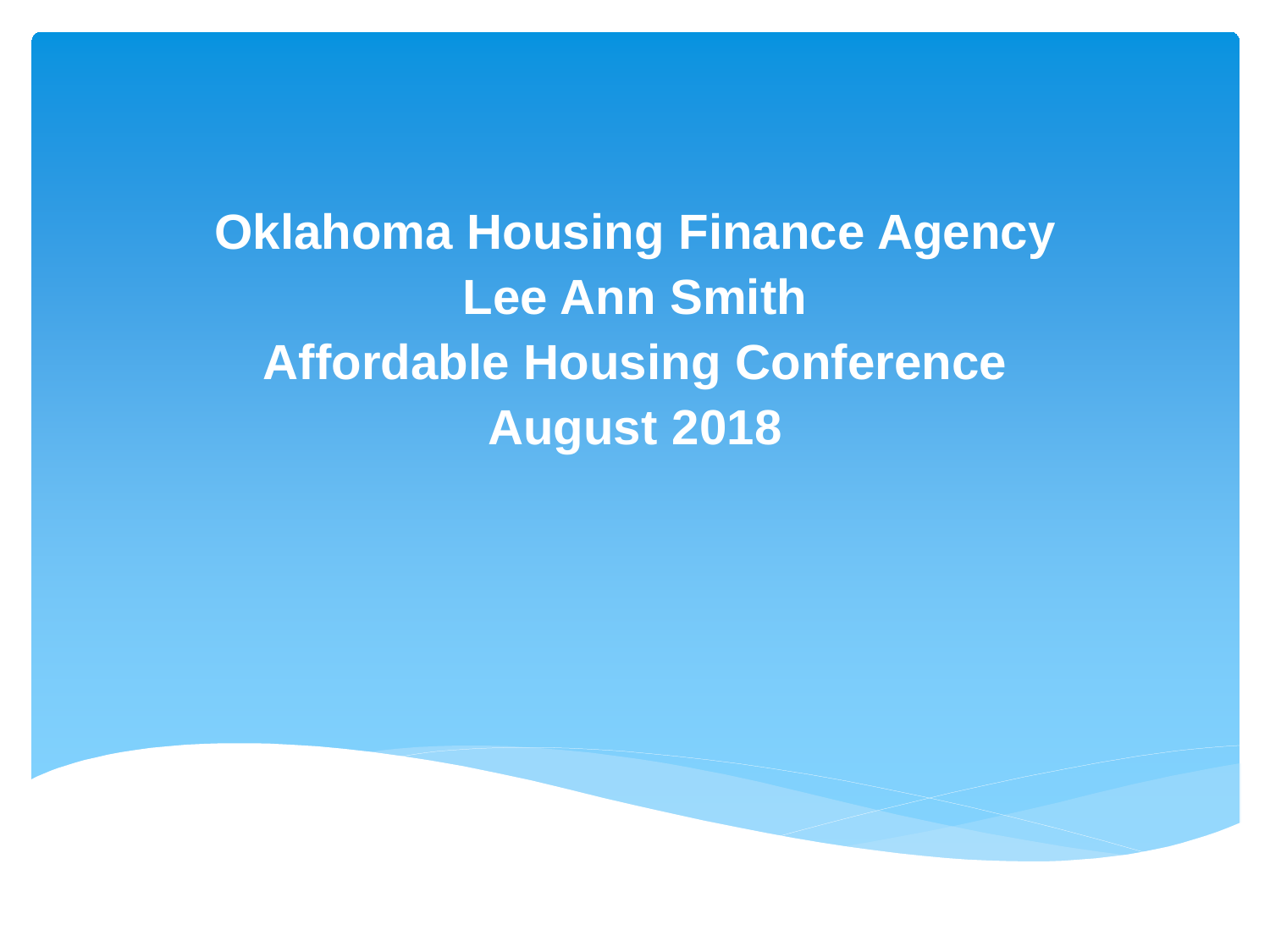**Oklahoma Housing Finance Agency Lee Ann Smith Affordable Housing Conference August 2018**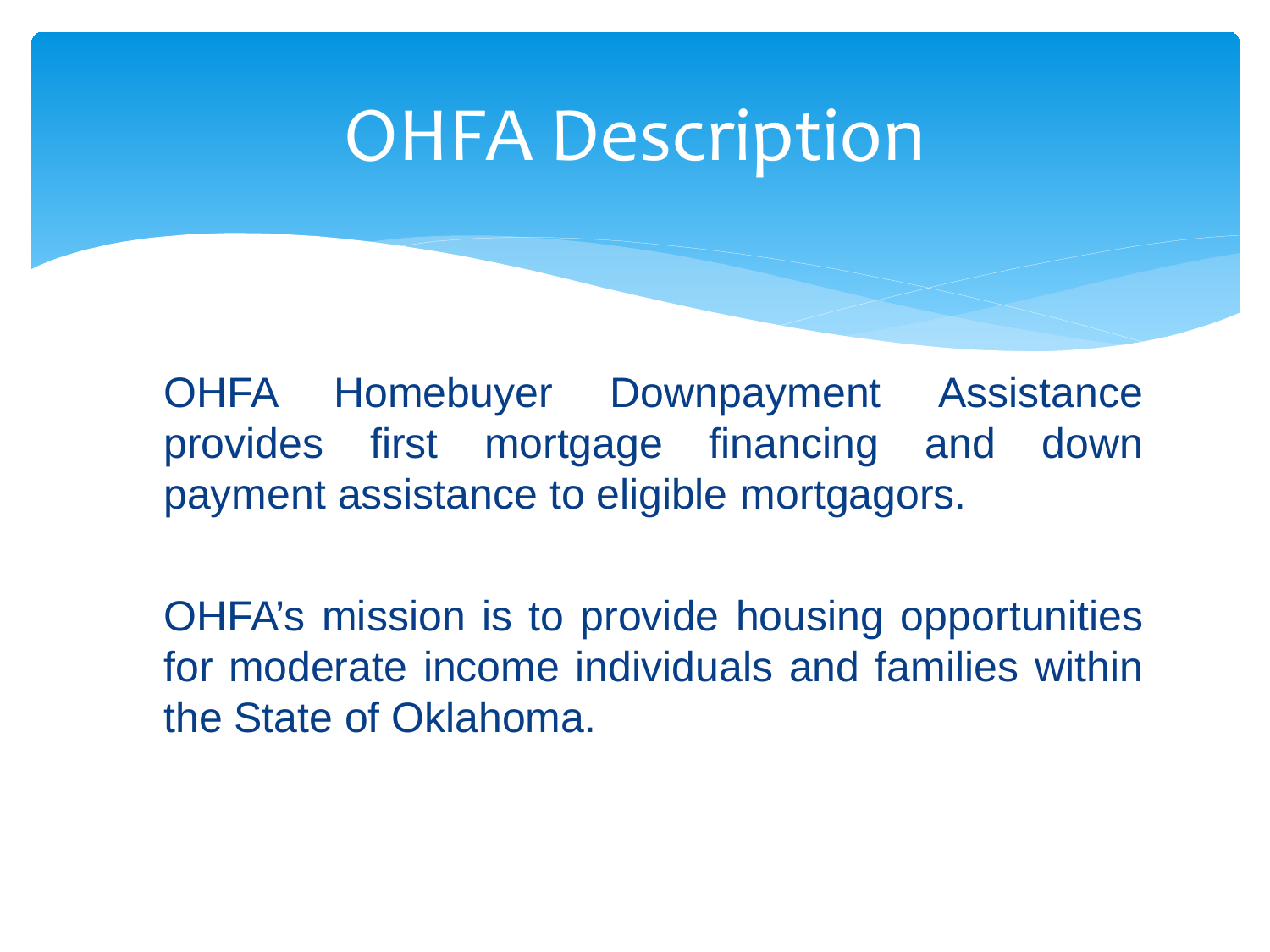### OHFA Description

OHFA Homebuyer Downpayment Assistance provides first mortgage financing and down payment assistance to eligible mortgagors.

OHFA's mission is to provide housing opportunities for moderate income individuals and families within the State of Oklahoma.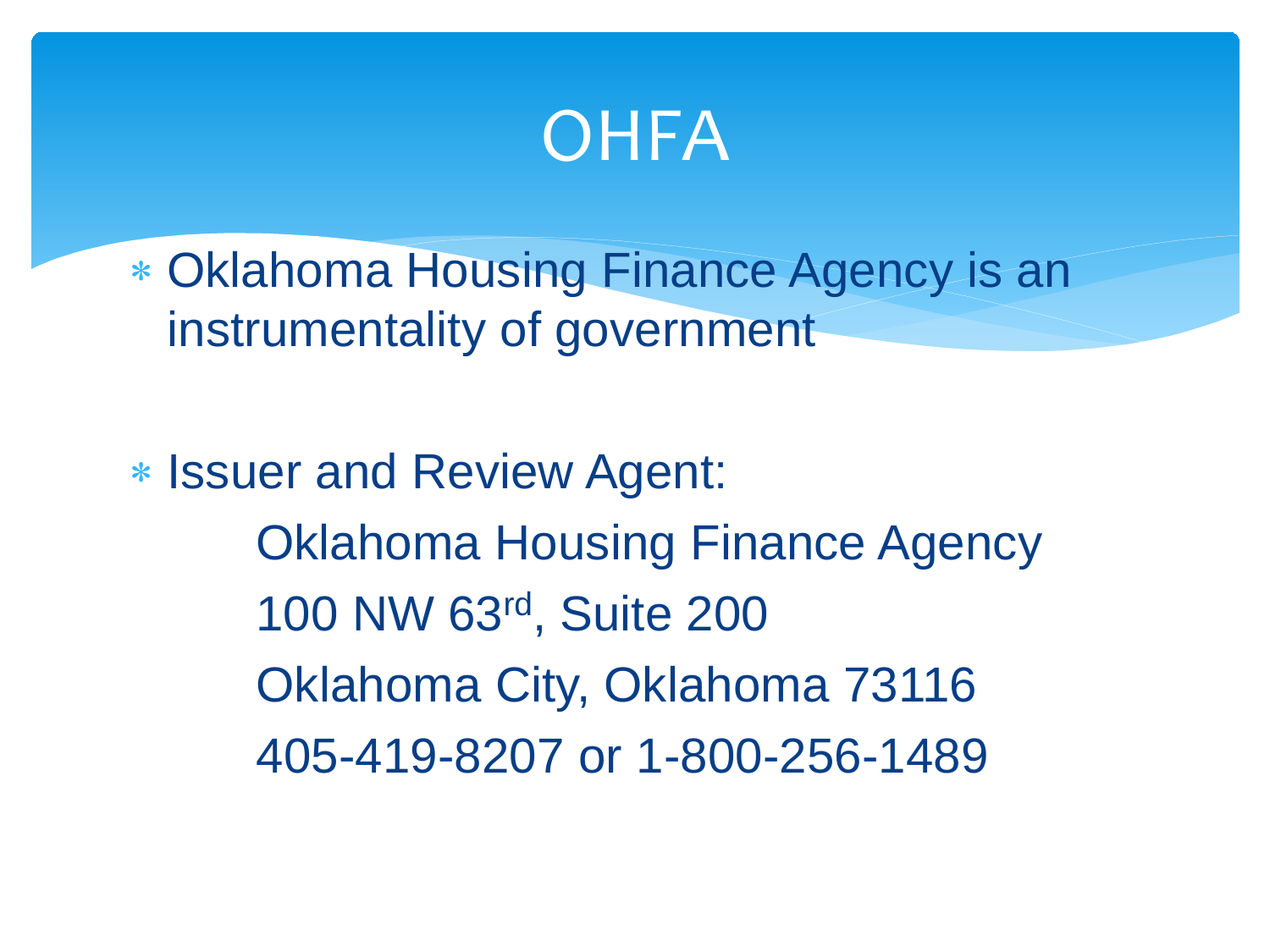### **OHFA**

- ∗ Oklahoma Housing Finance Agency is an instrumentality of government
- ∗ Issuer and Review Agent: Oklahoma Housing Finance Agency 100 NW 63rd, Suite 200 Oklahoma City, Oklahoma 73116 405-419-8207 or 1-800-256-1489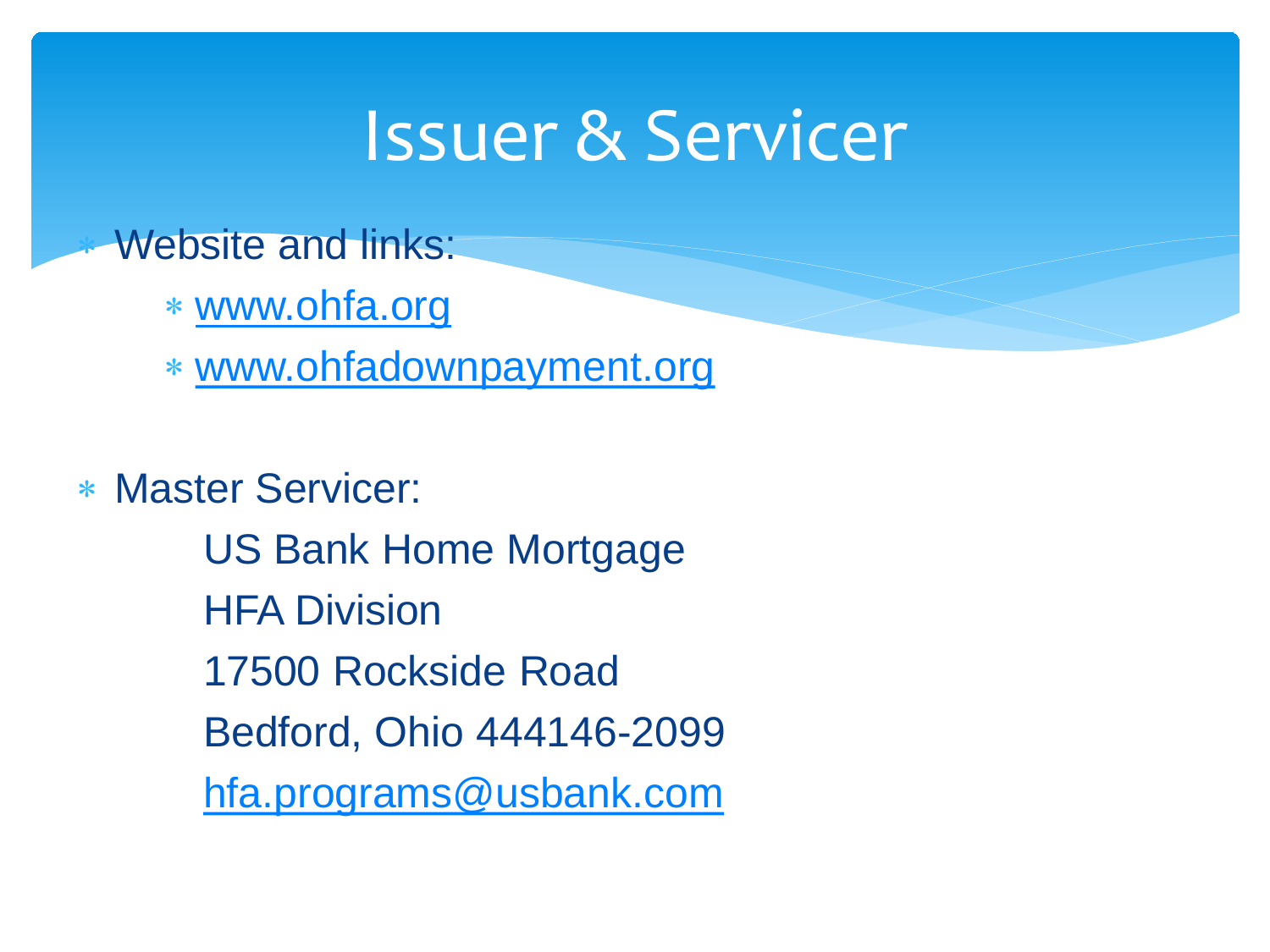### Issuer & Servicer

**Website and links:** 

- ∗ [www.ohfa.org](http://www.ohfa.org/)
- ∗ [www.ohfadownpayment.org](http://www.ohfadownpayment.org/)

∗ Master Servicer:

US Bank Home Mortgage HFA Division 17500 Rockside Road Bedford, Ohio 444146-2099 [hfa.programs@usbank.com](mailto:hfa.programs@usbank.com)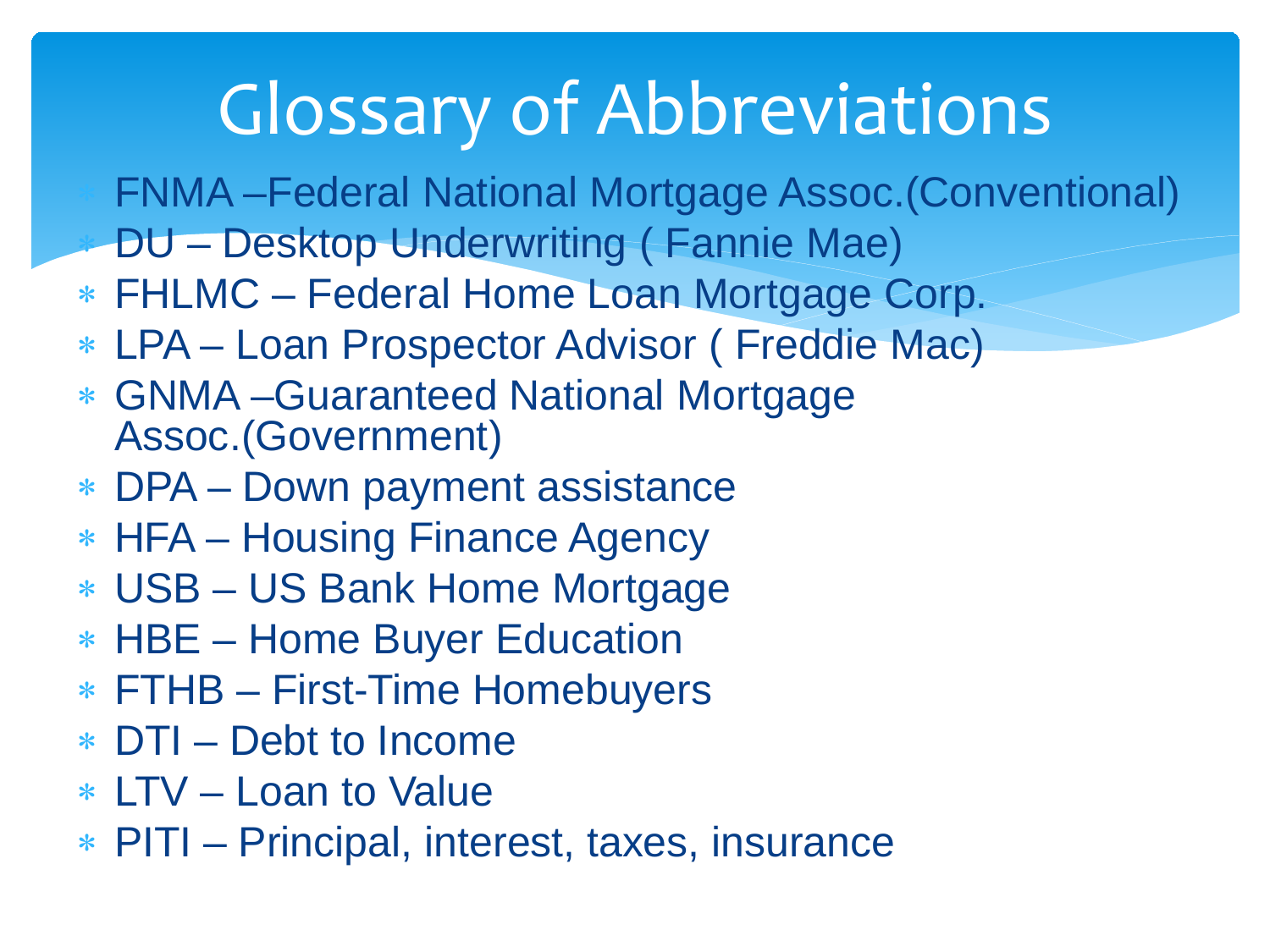# Glossary of Abbreviations

∗ FNMA –Federal National Mortgage Assoc.(Conventional)

- ∗ DU Desktop Underwriting ( Fannie Mae)
- ∗ FHLMC Federal Home Loan Mortgage Corp.
- ∗ LPA Loan Prospector Advisor ( Freddie Mac)
- ∗ GNMA –Guaranteed National Mortgage Assoc.(Government)
- ∗ DPA Down payment assistance
- ∗ HFA Housing Finance Agency
- ∗ USB US Bank Home Mortgage
- ∗ HBE Home Buyer Education
- ∗ FTHB First-Time Homebuyers
- ∗ DTI Debt to Income
- ∗ LTV Loan to Value
- ∗ PITI Principal, interest, taxes, insurance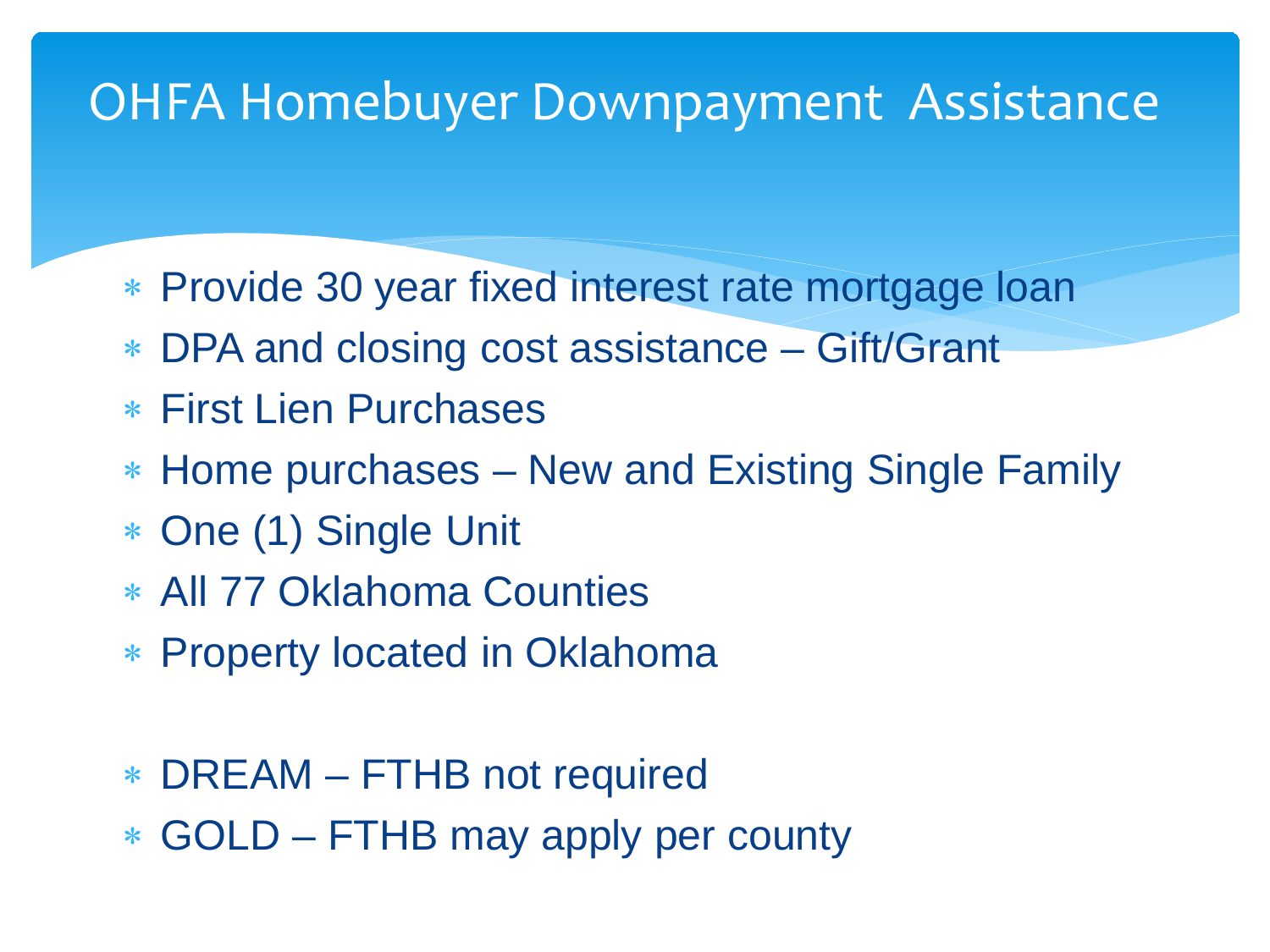### OHFA Homebuyer Downpayment Assistance

- ∗ Provide 30 year fixed interest rate mortgage loan
- ∗ DPA and closing cost assistance Gift/Grant
- ∗ First Lien Purchases
- ∗ Home purchases New and Existing Single Family
- ∗ One (1) Single Unit
- ∗ All 77 Oklahoma Counties
- ∗ Property located in Oklahoma
- ∗ DREAM FTHB not required
- ∗ GOLD FTHB may apply per county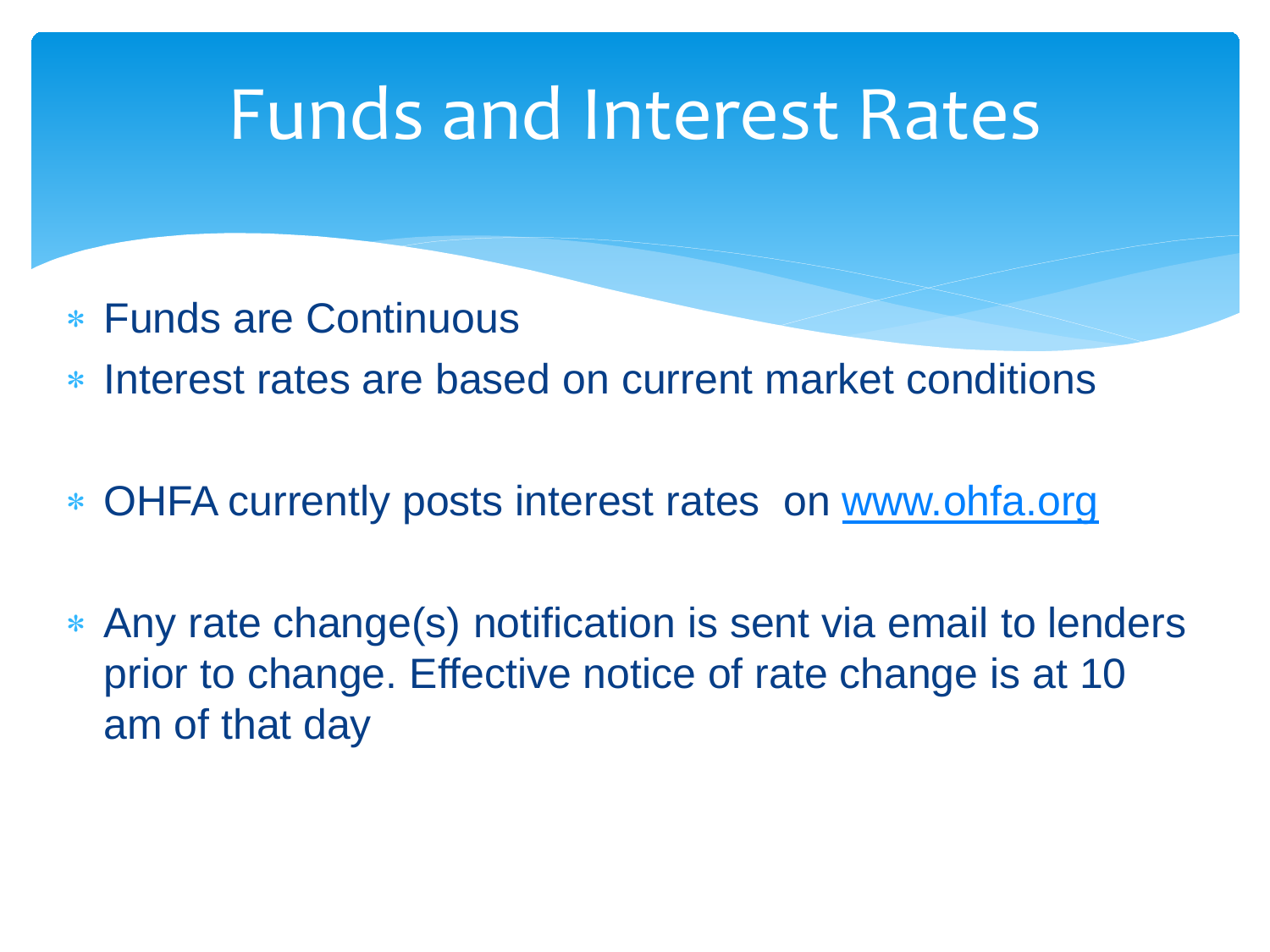### Funds and Interest Rates

- ∗ Funds are Continuous
- ∗ Interest rates are based on current market conditions
- ∗ OHFA currently posts interest rates on [www.ohfa.org](http://www.ohfa.org/)
- ∗ Any rate change(s) notification is sent via email to lenders prior to change. Effective notice of rate change is at 10 am of that day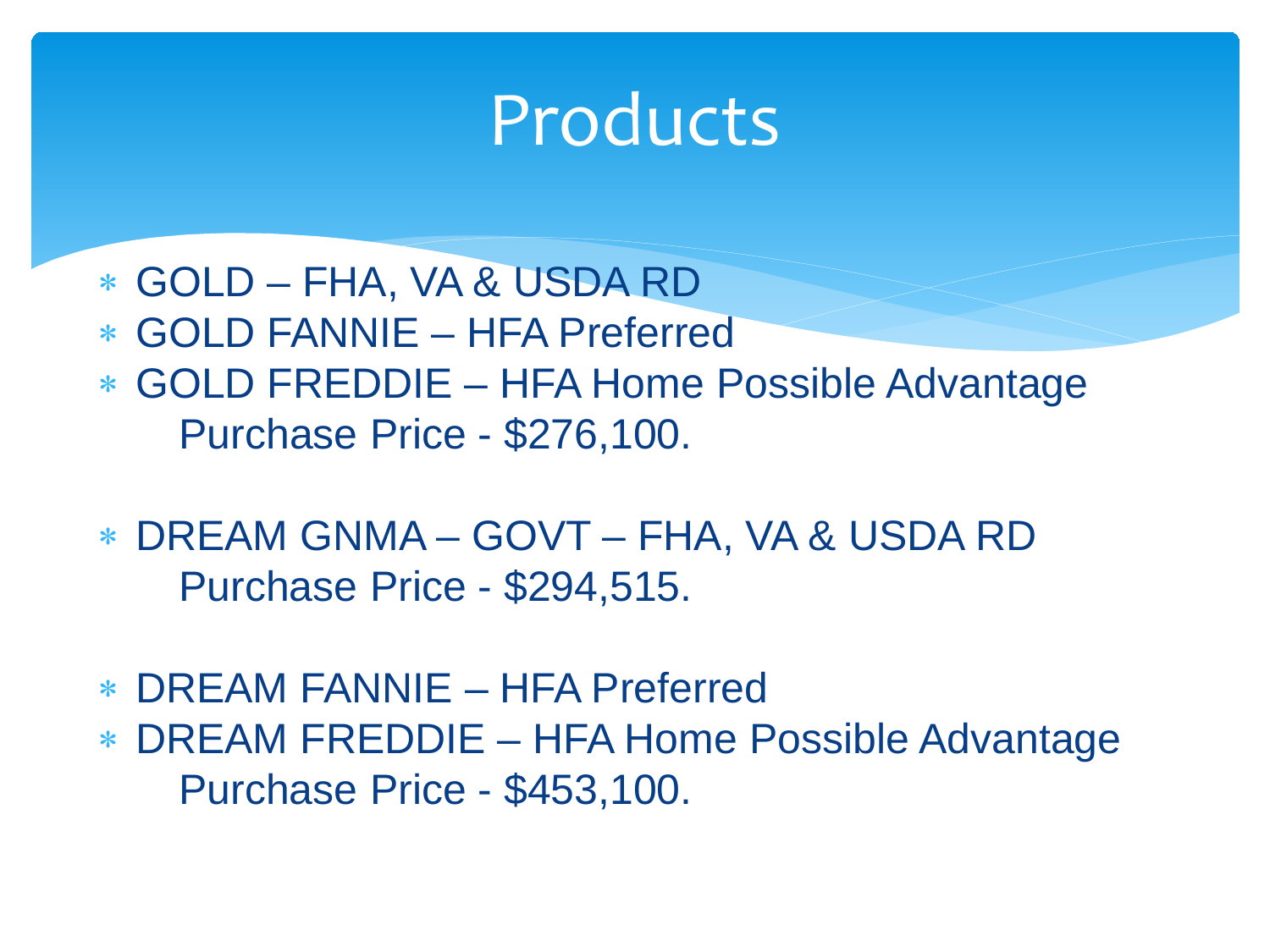### Products

- ∗ GOLD FHA, VA & USDA RD
- ∗ GOLD FANNIE HFA Preferred
- ∗ GOLD FREDDIE HFA Home Possible Advantage Purchase Price - \$276,100.
- ∗ DREAM GNMA GOVT FHA, VA & USDA RD Purchase Price - \$294,515.
- ∗ DREAM FANNIE HFA Preferred
- ∗ DREAM FREDDIE HFA Home Possible Advantage Purchase Price - \$453,100.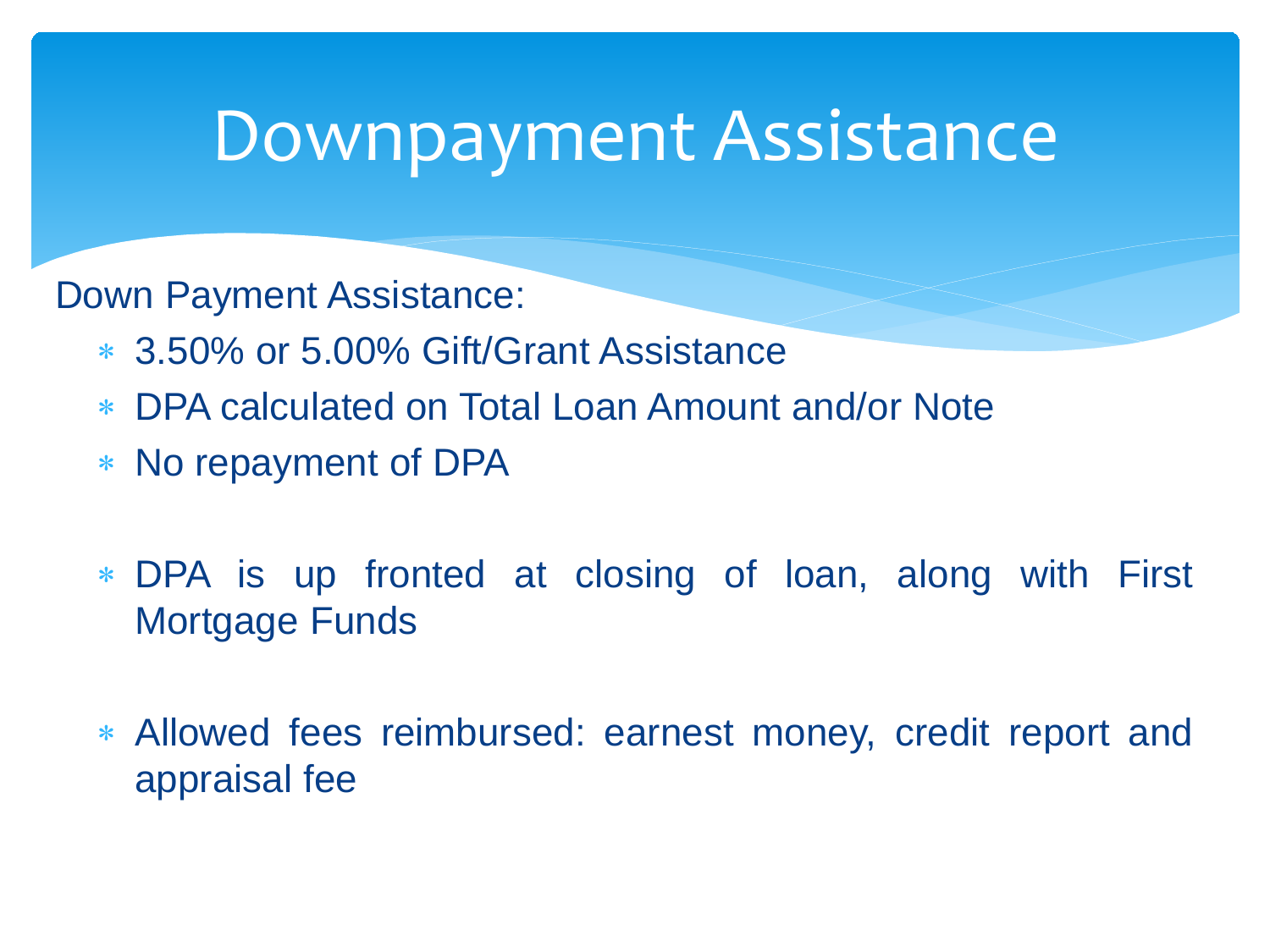### Downpayment Assistance

Down Payment Assistance:

- ∗ 3.50% or 5.00% Gift/Grant Assistance
- ∗ DPA calculated on Total Loan Amount and/or Note
- ∗ No repayment of DPA
- ∗ DPA is up fronted at closing of loan, along with First Mortgage Funds
- ∗ Allowed fees reimbursed: earnest money, credit report and appraisal fee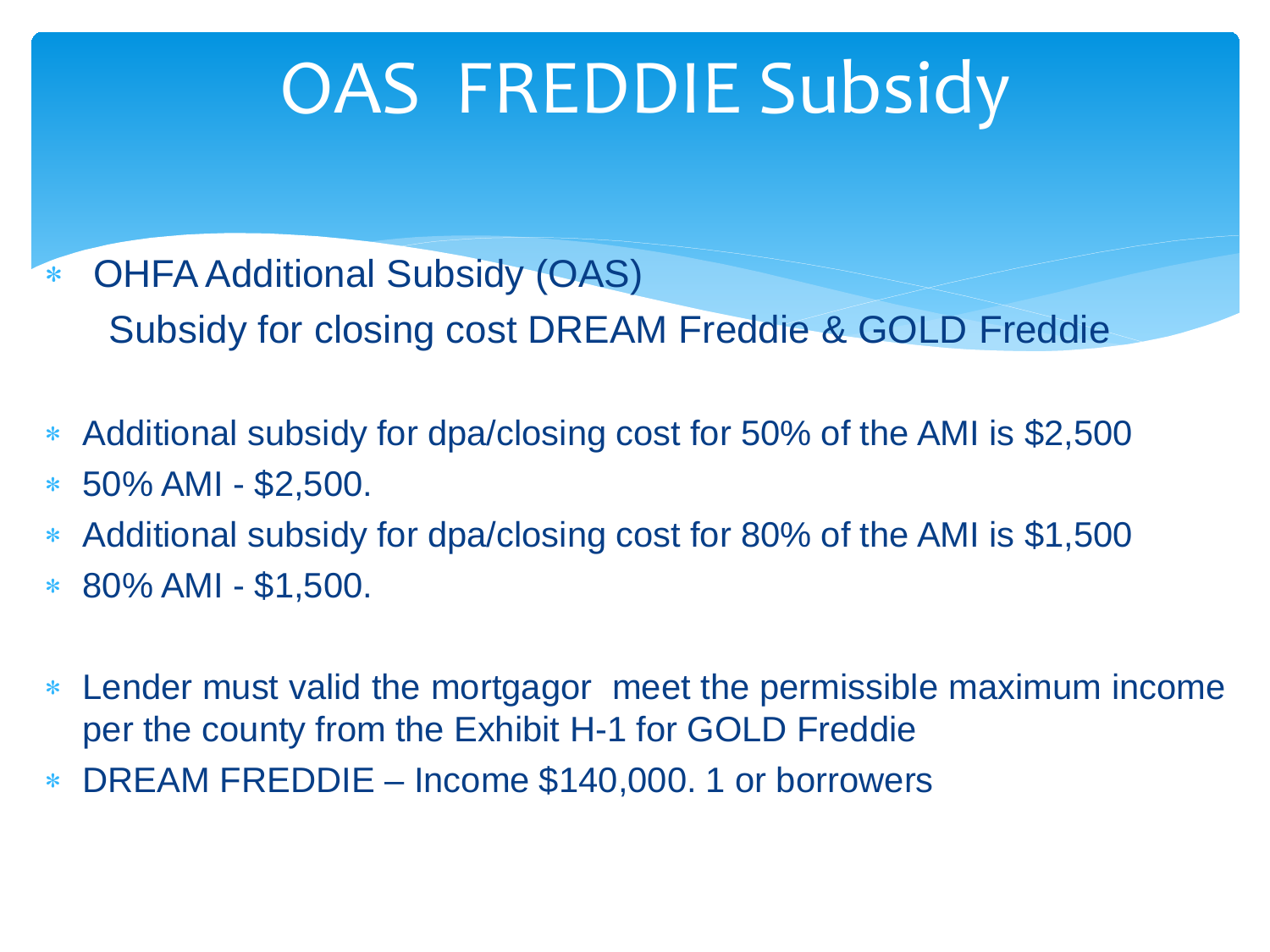# OAS FREDDIE Subsidy

- ∗ OHFA Additional Subsidy (OAS) Subsidy for closing cost DREAM Freddie & GOLD Freddie
- ∗ Additional subsidy for dpa/closing cost for 50% of the AMI is \$2,500
- ∗ 50% AMI \$2,500.
- Additional subsidy for dpa/closing cost for 80% of the AMI is \$1,500
- ∗ 80% AMI \$1,500.
- ∗ Lender must valid the mortgagor meet the permissible maximum income per the county from the Exhibit H-1 for GOLD Freddie
- ∗ DREAM FREDDIE Income \$140,000. 1 or borrowers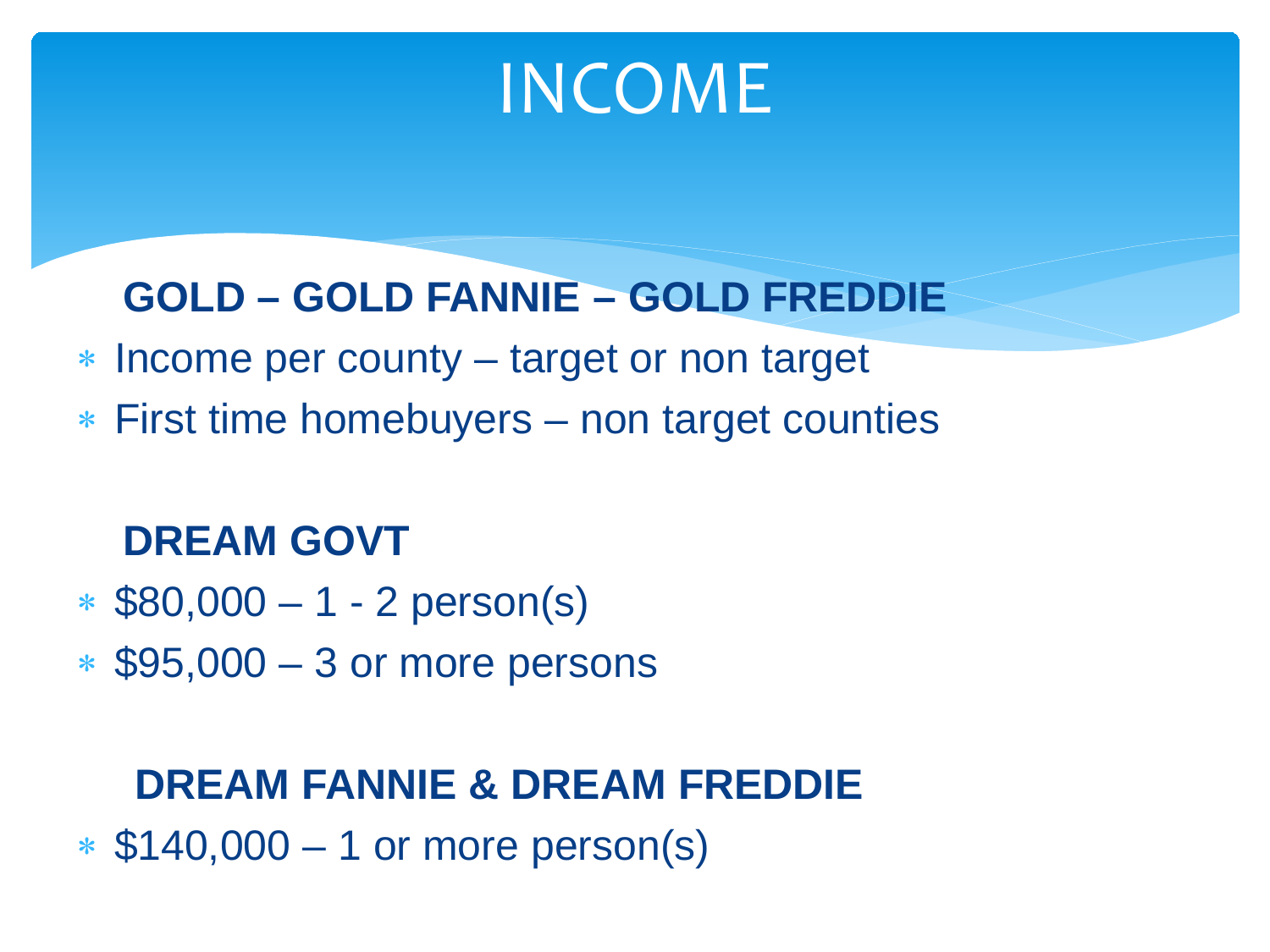## INCOME

#### **GOLD – GOLD FANNIE – GOLD FREDDIE**

- ∗ Income per county target or non target
- ∗ First time homebuyers non target counties

#### **DREAM GOVT**

- ∗ \$80,000 1 2 person(s)
- ∗ \$95,000 3 or more persons

#### **DREAM FANNIE & DREAM FREDDIE**

∗ \$140,000 – 1 or more person(s)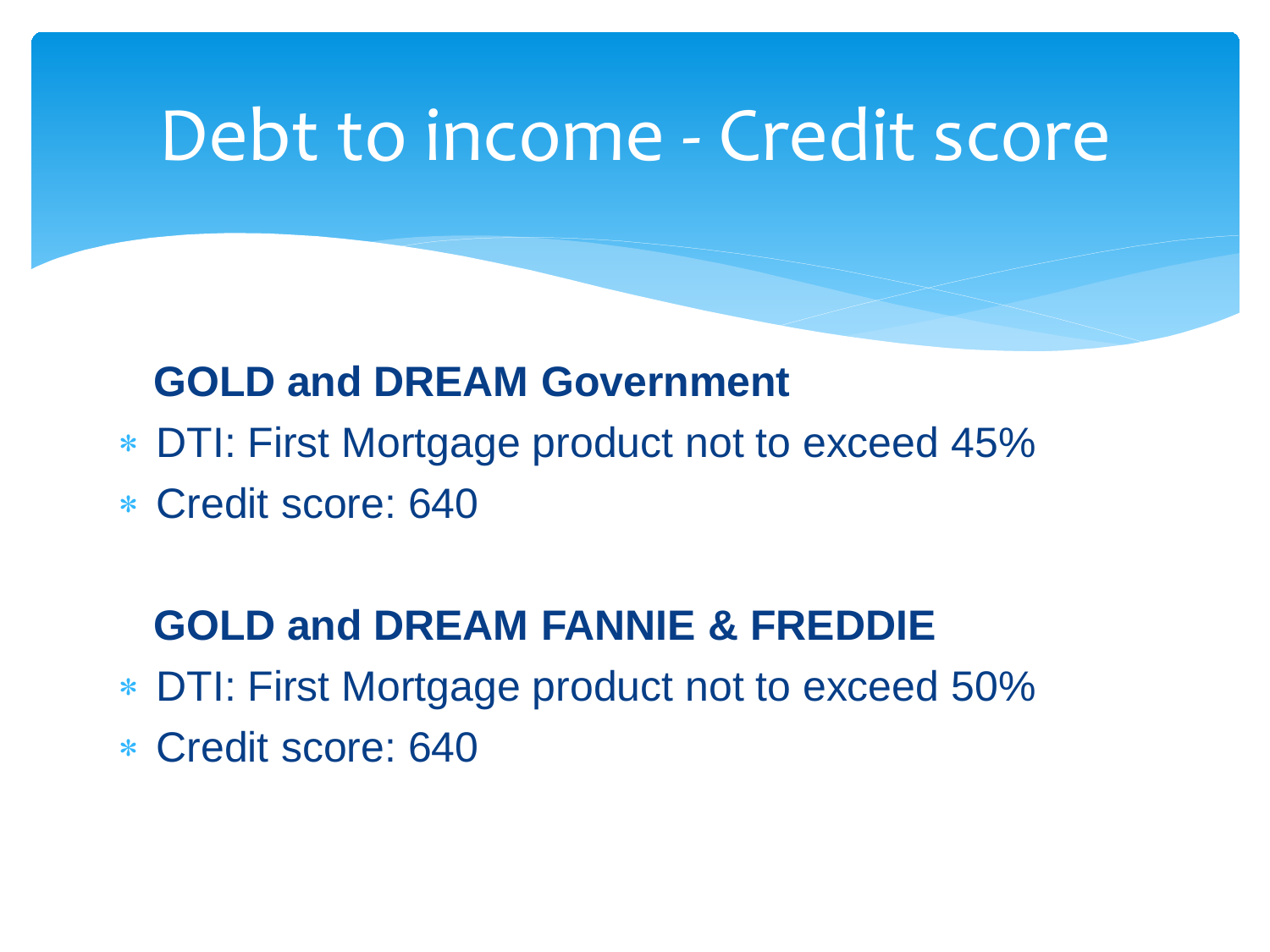### Debt to income - Credit score

#### **GOLD and DREAM Government**

- ∗ DTI: First Mortgage product not to exceed 45%
- ∗ Credit score: 640

#### **GOLD and DREAM FANNIE & FREDDIE**

- ∗ DTI: First Mortgage product not to exceed 50%
- ∗ Credit score: 640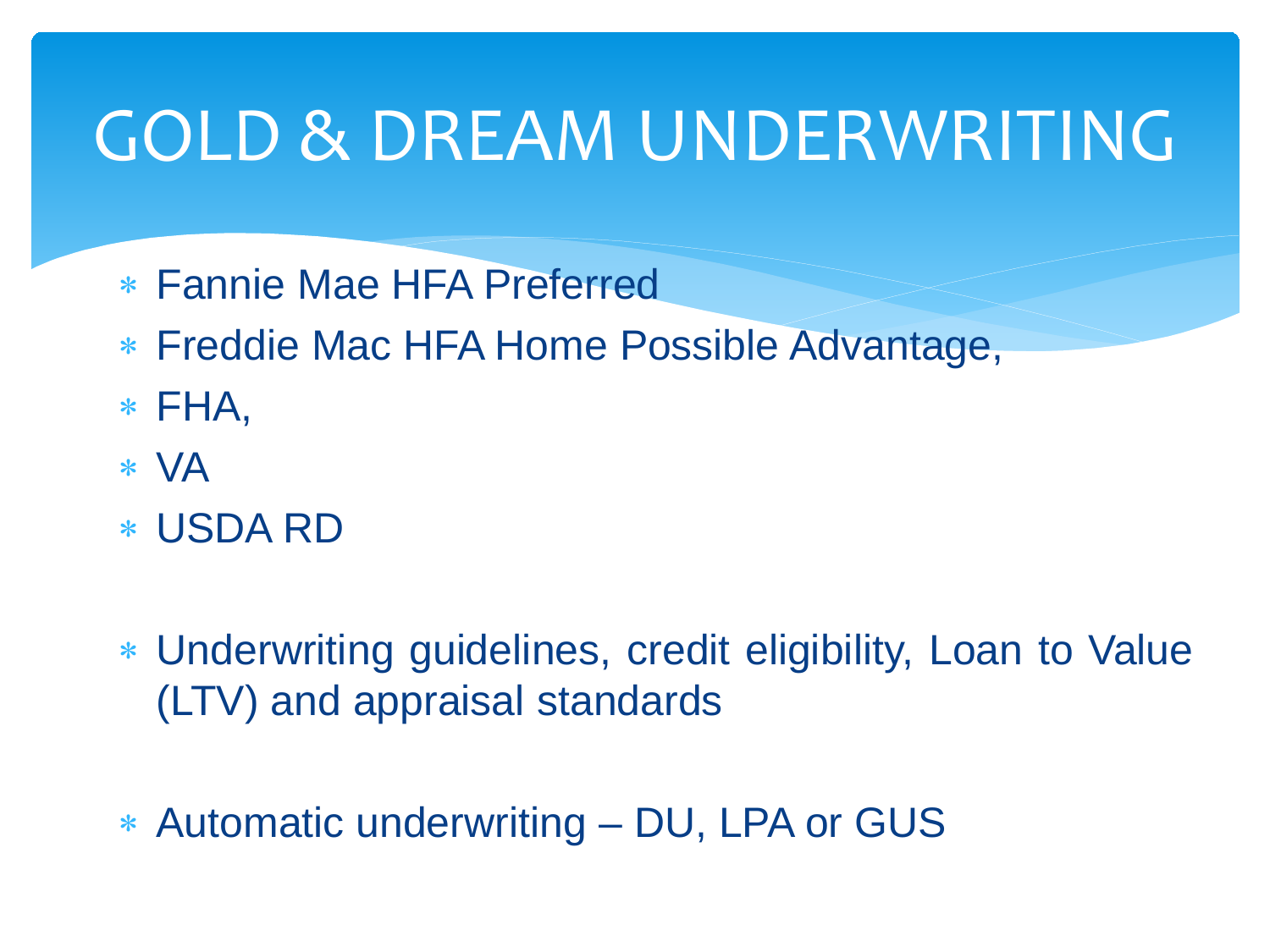# GOLD & DREAM UNDERWRITING

- ∗ Fannie Mae HFA Preferred
- ∗ Freddie Mac HFA Home Possible Advantage,
- ∗ FHA,
- ∗ VA
- ∗ USDA RD
- ∗ Underwriting guidelines, credit eligibility, Loan to Value (LTV) and appraisal standards
- ∗ Automatic underwriting DU, LPA or GUS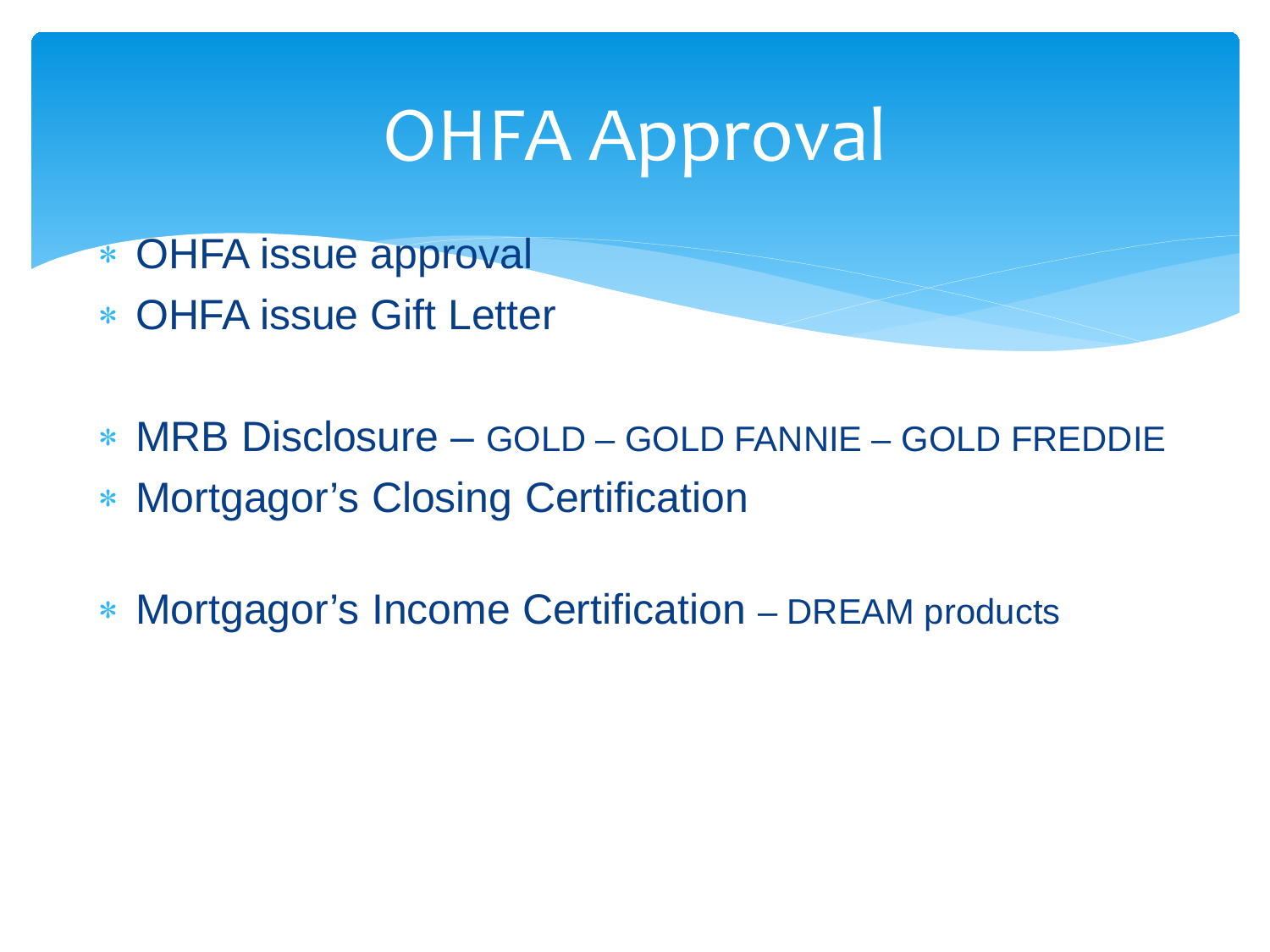# OHFA Approval

- ∗ OHFA issue approval
- ∗ OHFA issue Gift Letter
- ∗ MRB Disclosure GOLD GOLD FANNIE GOLD FREDDIE
- ∗ Mortgagor's Closing Certification
- ∗ Mortgagor's Income Certification DREAM products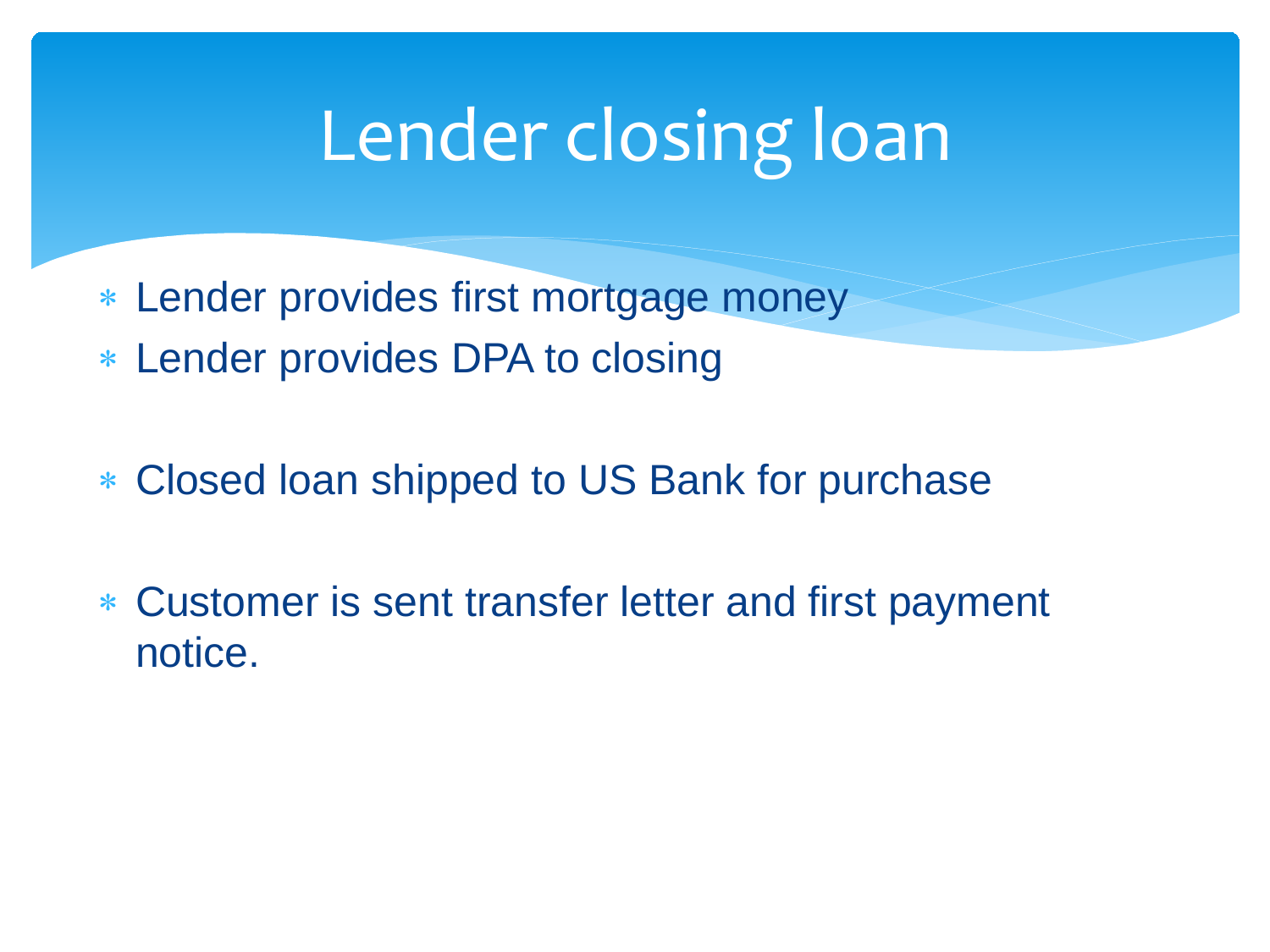## Lender closing loan

- ∗ Lender provides first mortgage money
- ∗ Lender provides DPA to closing
- ∗ Closed loan shipped to US Bank for purchase
- ∗ Customer is sent transfer letter and first payment notice.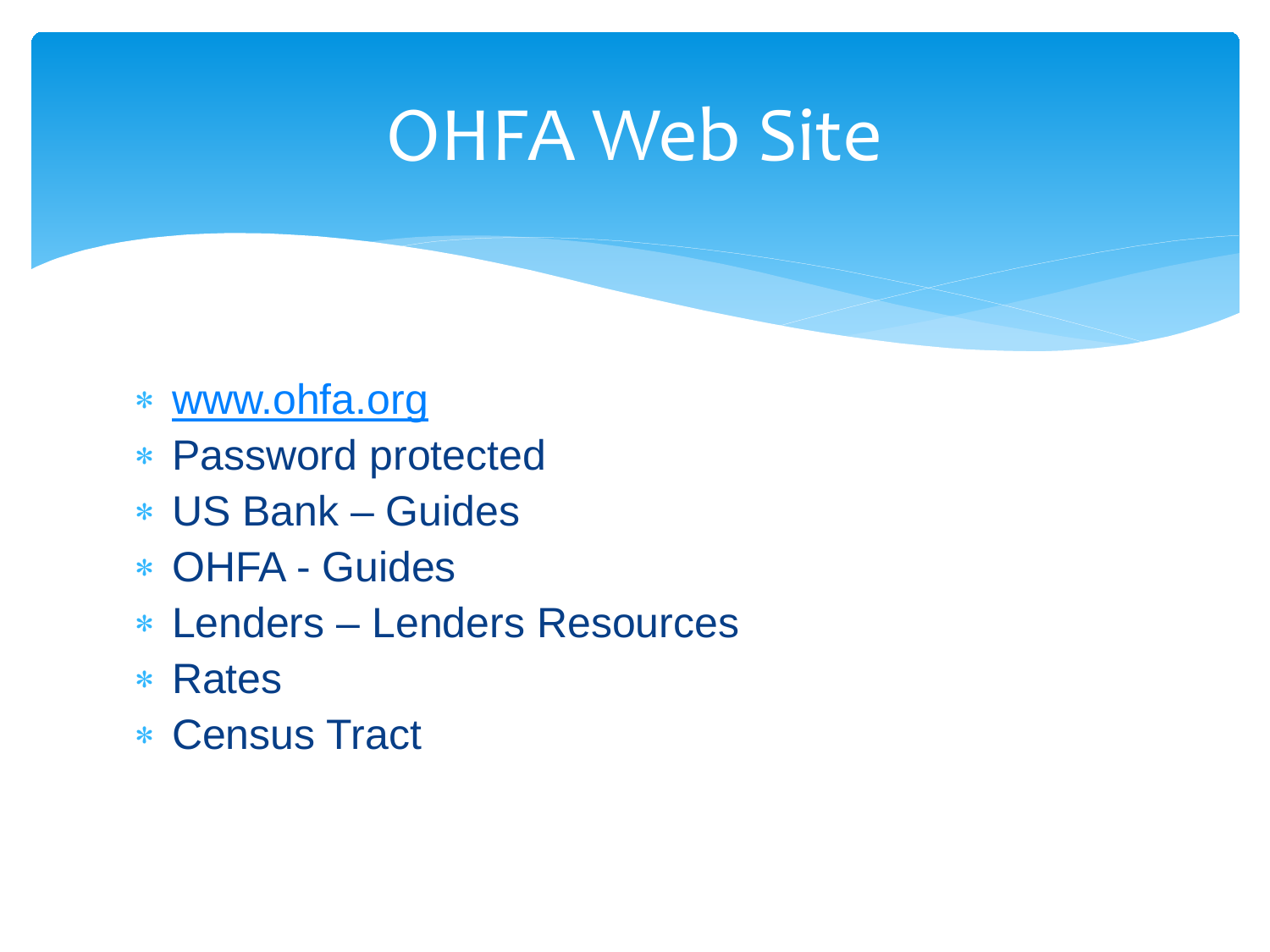### **OHFA Web Site**

- ∗ [www.ohfa.org](http://www.ohfa.org/)
- ∗ Password protected
- ∗ US Bank Guides
- ∗ OHFA Guides
- ∗ Lenders Lenders Resources
- ∗ Rates
- ∗ Census Tract